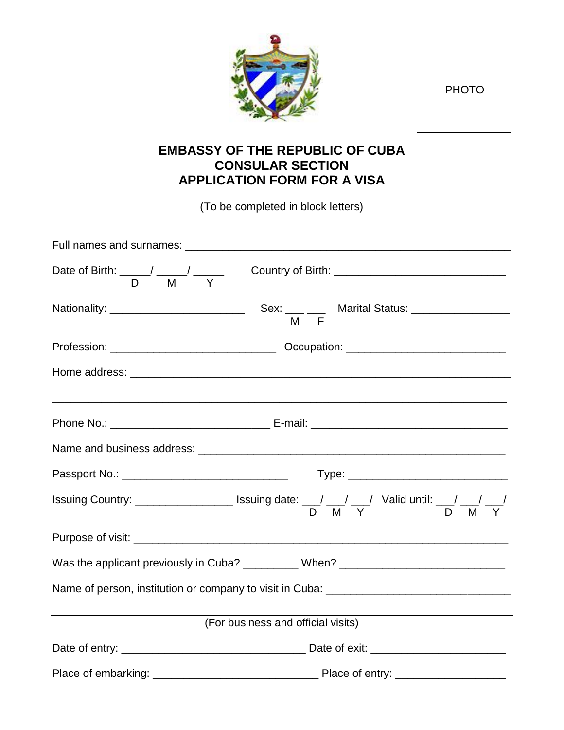## **EMBASSY OF THE REPUBLIC OF CUBA CONSULAR SECTION APPLICATION FORM FOR A VISA**

(To be completed in block letters)

| Date of Birth: $\frac{\phantom{+}}{\phantom{+}}$ / $\frac{\phantom{+}}{\phantom{+}}$ / $\frac{\phantom{+}}{\phantom{+}}$ | Country of Birth: ___________________________________                                                     |  |  |  |
|--------------------------------------------------------------------------------------------------------------------------|-----------------------------------------------------------------------------------------------------------|--|--|--|
| Nationality: ____________________________                                                                                | Sex: $\frac{1}{M}$ $\frac{1}{F}$ Marital Status: $\frac{1}{M}$                                            |  |  |  |
|                                                                                                                          |                                                                                                           |  |  |  |
|                                                                                                                          |                                                                                                           |  |  |  |
|                                                                                                                          |                                                                                                           |  |  |  |
|                                                                                                                          |                                                                                                           |  |  |  |
|                                                                                                                          |                                                                                                           |  |  |  |
|                                                                                                                          | Issuing Country: _______________________ Issuing date: ___/ ___/ ___/ Valid until: ___/ ___/ __/<br>D M Y |  |  |  |
|                                                                                                                          |                                                                                                           |  |  |  |
|                                                                                                                          | Was the applicant previously in Cuba? __________ When? _________________________                          |  |  |  |
|                                                                                                                          | Name of person, institution or company to visit in Cuba: ________________________                         |  |  |  |
| (For business and official visits)                                                                                       |                                                                                                           |  |  |  |
|                                                                                                                          |                                                                                                           |  |  |  |
|                                                                                                                          |                                                                                                           |  |  |  |